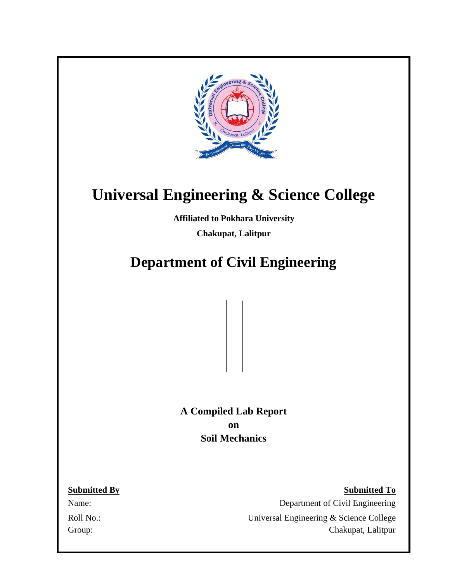

# **Universal Engineering & Science College**

**Affiliated to Pokhara University**

**Chakupat, Lalitpur**

# **Department of Civil Engineering**

**A Compiled Lab Report on Soil Mechanics**

**Submitted By Submitted To** Name: Department of Civil Engineering Roll No.: Universal Engineering & Science College Group: Chakupat, Lalitpur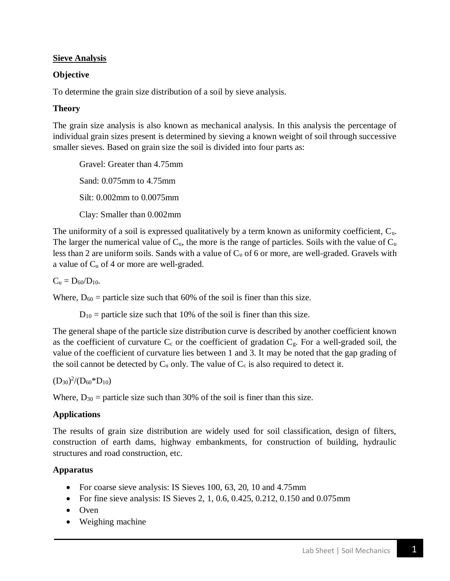#### **Sieve Analysis**

# **Objective**

To determine the grain size distribution of a soil by sieve analysis.

# **Theory**

The grain size analysis is also known as mechanical analysis. In this analysis the percentage of individual grain sizes present is determined by sieving a known weight of soil through successive smaller sieves. Based on grain size the soil is divided into four parts as:

Gravel: Greater than 4.75mm Sand: 0.075mm to 4.75mm Silt: 0.002mm to 0.0075mm Clay: Smaller than 0.002mm

The uniformity of a soil is expressed qualitatively by a term known as uniformity coefficient, Cu. The larger the numerical value of  $C_u$ , the more is the range of particles. Soils with the value of  $C_u$ less than 2 are uniform soils. Sands with a value of  $C_u$  of 6 or more, are well-graded. Gravels with a value of  $C_u$  of 4 or more are well-graded.

 $C_u = D_{60}/D_{10}$ .

Where,  $D_{60}$  = particle size such that 60% of the soil is finer than this size.

 $D_{10}$  = particle size such that 10% of the soil is finer than this size.

The general shape of the particle size distribution curve is described by another coefficient known as the coefficient of curvature  $C_c$  or the coefficient of gradation  $C_g$ . For a well-graded soil, the value of the coefficient of curvature lies between 1 and 3. It may be noted that the gap grading of the soil cannot be detected by  $C_u$  only. The value of  $C_c$  is also required to detect it.

 $(D_{30})^2/(D_{60} * D_{10})$ 

Where,  $D_{30}$  = particle size such than 30% of the soil is finer than this size.

# **Applications**

The results of grain size distribution are widely used for soil classification, design of filters, construction of earth dams, highway embankments, for construction of building, hydraulic structures and road construction, etc.

# **Apparatus**

- For coarse sieve analysis: IS Sieves 100, 63, 20, 10 and 4.75mm
- For fine sieve analysis: IS Sieves 2, 1, 0.6, 0.425, 0.212, 0.150 and 0.075mm
- Oven
- Weighing machine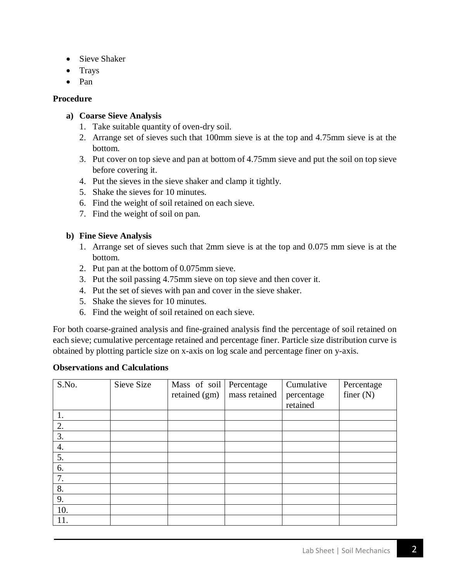- Sieve Shaker
- Trays
- Pan

#### **Procedure**

#### **a) Coarse Sieve Analysis**

- 1. Take suitable quantity of oven-dry soil.
- 2. Arrange set of sieves such that 100mm sieve is at the top and 4.75mm sieve is at the bottom.
- 3. Put cover on top sieve and pan at bottom of 4.75mm sieve and put the soil on top sieve before covering it.
- 4. Put the sieves in the sieve shaker and clamp it tightly.
- 5. Shake the sieves for 10 minutes.
- 6. Find the weight of soil retained on each sieve.
- 7. Find the weight of soil on pan.

#### **b) Fine Sieve Analysis**

- 1. Arrange set of sieves such that 2mm sieve is at the top and 0.075 mm sieve is at the bottom.
- 2. Put pan at the bottom of 0.075mm sieve.
- 3. Put the soil passing 4.75mm sieve on top sieve and then cover it.
- 4. Put the set of sieves with pan and cover in the sieve shaker.
- 5. Shake the sieves for 10 minutes.
- 6. Find the weight of soil retained on each sieve.

For both coarse-grained analysis and fine-grained analysis find the percentage of soil retained on each sieve; cumulative percentage retained and percentage finer. Particle size distribution curve is obtained by plotting particle size on x-axis on log scale and percentage finer on y-axis.

#### **Observations and Calculations**

| S.No.            | Sieve Size | Mass of soil Percentage<br>retained (gm) | mass retained | Cumulative<br>percentage | Percentage<br>finer $(N)$ |
|------------------|------------|------------------------------------------|---------------|--------------------------|---------------------------|
|                  |            |                                          |               | retained                 |                           |
| 1.               |            |                                          |               |                          |                           |
| 2.               |            |                                          |               |                          |                           |
| 3.               |            |                                          |               |                          |                           |
| $\overline{4}$ . |            |                                          |               |                          |                           |
| 5.               |            |                                          |               |                          |                           |
| 6.               |            |                                          |               |                          |                           |
| 7.               |            |                                          |               |                          |                           |
| 8.               |            |                                          |               |                          |                           |
| 9.               |            |                                          |               |                          |                           |
| 10.              |            |                                          |               |                          |                           |
| 11.              |            |                                          |               |                          |                           |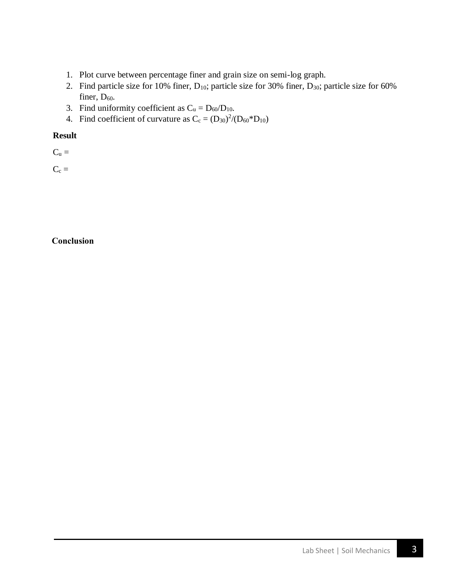- 1. Plot curve between percentage finer and grain size on semi-log graph.
- 2. Find particle size for 10% finer, D<sub>10</sub>; particle size for 30% finer, D<sub>30</sub>; particle size for 60% finer,  $D_{60}$ .
- 3. Find uniformity coefficient as  $C_u = D_{60}/D_{10}$ .
- 4. Find coefficient of curvature as  $C_c = (D_{30})^2/(D_{60} * D_{10})$

#### **Result**

 $C_u =$ 

 $C_c =$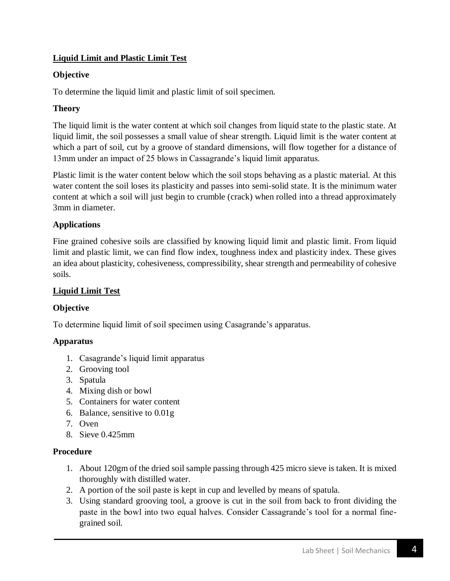# **Liquid Limit and Plastic Limit Test**

# **Objective**

To determine the liquid limit and plastic limit of soil specimen.

#### **Theory**

The liquid limit is the water content at which soil changes from liquid state to the plastic state. At liquid limit, the soil possesses a small value of shear strength. Liquid limit is the water content at which a part of soil, cut by a groove of standard dimensions, will flow together for a distance of 13mm under an impact of 25 blows in Cassagrande's liquid limit apparatus.

Plastic limit is the water content below which the soil stops behaving as a plastic material. At this water content the soil loses its plasticity and passes into semi-solid state. It is the minimum water content at which a soil will just begin to crumble (crack) when rolled into a thread approximately 3mm in diameter.

#### **Applications**

Fine grained cohesive soils are classified by knowing liquid limit and plastic limit. From liquid limit and plastic limit, we can find flow index, toughness index and plasticity index. These gives an idea about plasticity, cohesiveness, compressibility, shear strength and permeability of cohesive soils.

#### **Liquid Limit Test**

#### **Objective**

To determine liquid limit of soil specimen using Casagrande's apparatus.

#### **Apparatus**

- 1. Casagrande's liquid limit apparatus
- 2. Grooving tool
- 3. Spatula
- 4. Mixing dish or bowl
- 5. Containers for water content
- 6. Balance, sensitive to 0.01g
- 7. Oven
- 8. Sieve 0.425mm

#### **Procedure**

- 1. About 120gm of the dried soil sample passing through 425 micro sieve is taken. It is mixed thoroughly with distilled water.
- 2. A portion of the soil paste is kept in cup and levelled by means of spatula.
- 3. Using standard grooving tool, a groove is cut in the soil from back to front dividing the paste in the bowl into two equal halves. Consider Cassagrande's tool for a normal finegrained soil.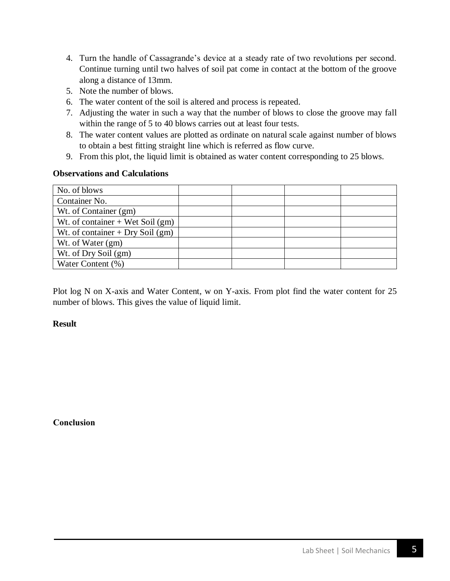- 4. Turn the handle of Cassagrande's device at a steady rate of two revolutions per second. Continue turning until two halves of soil pat come in contact at the bottom of the groove along a distance of 13mm.
- 5. Note the number of blows.
- 6. The water content of the soil is altered and process is repeated.
- 7. Adjusting the water in such a way that the number of blows to close the groove may fall within the range of 5 to 40 blows carries out at least four tests.
- 8. The water content values are plotted as ordinate on natural scale against number of blows to obtain a best fitting straight line which is referred as flow curve.
- 9. From this plot, the liquid limit is obtained as water content corresponding to 25 blows.

#### **Observations and Calculations**

| No. of blows                       |  |  |
|------------------------------------|--|--|
| Container No.                      |  |  |
| Wt. of Container (gm)              |  |  |
| Wt. of container $+$ Wet Soil (gm) |  |  |
| Wt. of container $+$ Dry Soil (gm) |  |  |
| Wt. of Water (gm)                  |  |  |
| Wt. of Dry Soil (gm)               |  |  |
| Water Content (%)                  |  |  |

Plot log N on X-axis and Water Content, w on Y-axis. From plot find the water content for 25 number of blows. This gives the value of liquid limit.

#### **Result**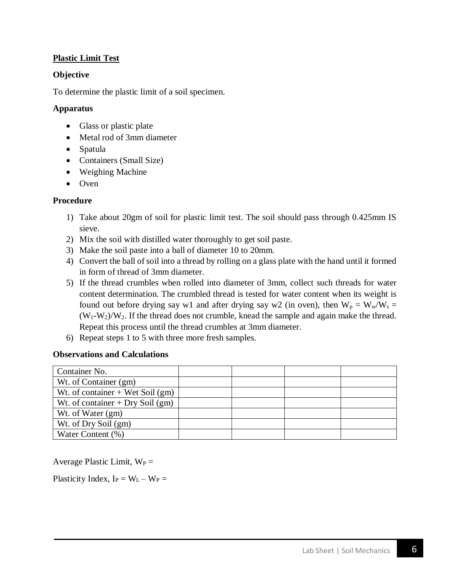# **Plastic Limit Test**

#### **Objective**

To determine the plastic limit of a soil specimen.

#### **Apparatus**

- Glass or plastic plate
- Metal rod of 3mm diameter
- Spatula
- Containers (Small Size)
- Weighing Machine
- Oven

#### **Procedure**

- 1) Take about 20gm of soil for plastic limit test. The soil should pass through 0.425mm IS sieve.
- 2) Mix the soil with distilled water thoroughly to get soil paste.
- 3) Make the soil paste into a ball of diameter 10 to 20mm.
- 4) Convert the ball of soil into a thread by rolling on a glass plate with the hand until it formed in form of thread of 3mm diameter.
- 5) If the thread crumbles when rolled into diameter of 3mm, collect such threads for water content determination. The crumbled thread is tested for water content when its weight is found out before drying say w1 and after drying say w2 (in oven), then  $W_p = W_w/W_s =$  $(W_1-W_2)/W_2$ . If the thread does not crumble, knead the sample and again make the thread. Repeat this process until the thread crumbles at 3mm diameter.
- 6) Repeat steps 1 to 5 with three more fresh samples.

#### **Observations and Calculations**

| Container No.                      |  |  |
|------------------------------------|--|--|
| Wt. of Container (gm)              |  |  |
| Wt. of container $+$ Wet Soil (gm) |  |  |
| Wt. of container $+$ Dry Soil (gm) |  |  |
| Wt. of Water (gm)                  |  |  |
| Wt. of Dry Soil (gm)               |  |  |
| Water Content (%)                  |  |  |

Average Plastic Limit,  $W_P =$ 

Plasticity Index,  $I_P = W_L - W_P =$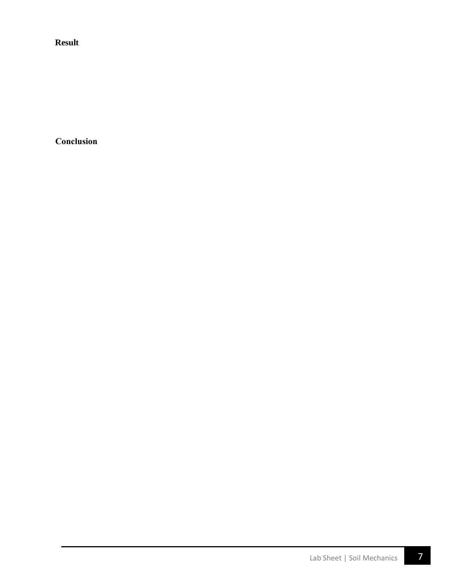**Result**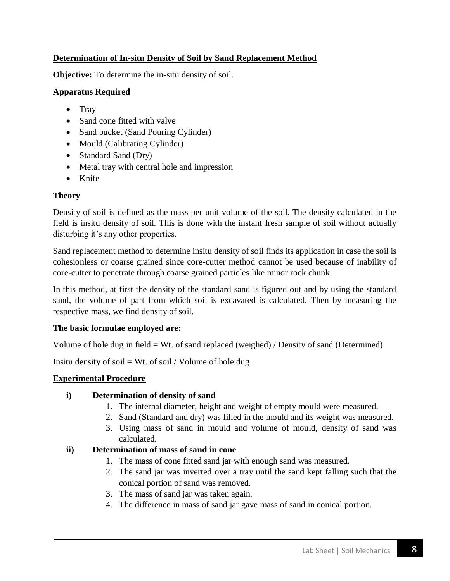# **Determination of In-situ Density of Soil by Sand Replacement Method**

**Objective:** To determine the in-situ density of soil.

#### **Apparatus Required**

- Tray
- Sand cone fitted with valve
- Sand bucket (Sand Pouring Cylinder)
- Mould (Calibrating Cylinder)
- Standard Sand (Dry)
- Metal tray with central hole and impression
- Knife

#### **Theory**

Density of soil is defined as the mass per unit volume of the soil. The density calculated in the field is insitu density of soil. This is done with the instant fresh sample of soil without actually disturbing it's any other properties.

Sand replacement method to determine insitu density of soil finds its application in case the soil is cohesionless or coarse grained since core-cutter method cannot be used because of inability of core-cutter to penetrate through coarse grained particles like minor rock chunk.

In this method, at first the density of the standard sand is figured out and by using the standard sand, the volume of part from which soil is excavated is calculated. Then by measuring the respective mass, we find density of soil.

# **The basic formulae employed are:**

Volume of hole dug in field = Wt. of sand replaced (weighed) / Density of sand (Determined)

Insitu density of soil = Wt. of soil / Volume of hole dug

# **Experimental Procedure**

#### **i) Determination of density of sand**

- 1. The internal diameter, height and weight of empty mould were measured.
- 2. Sand (Standard and dry) was filled in the mould and its weight was measured.
- 3. Using mass of sand in mould and volume of mould, density of sand was calculated.

# **ii) Determination of mass of sand in cone**

- 1. The mass of cone fitted sand jar with enough sand was measured.
- 2. The sand jar was inverted over a tray until the sand kept falling such that the conical portion of sand was removed.
- 3. The mass of sand jar was taken again.
- 4. The difference in mass of sand jar gave mass of sand in conical portion.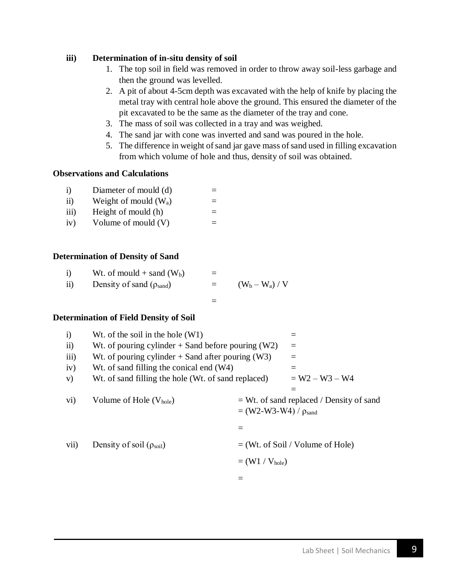#### **iii) Determination of in-situ density of soil**

- 1. The top soil in field was removed in order to throw away soil-less garbage and then the ground was levelled.
- 2. A pit of about 4-5cm depth was excavated with the help of knife by placing the metal tray with central hole above the ground. This ensured the diameter of the pit excavated to be the same as the diameter of the tray and cone.
- 3. The mass of soil was collected in a tray and was weighed.
- 4. The sand jar with cone was inverted and sand was poured in the hole.
- 5. The difference in weight of sand jar gave mass of sand used in filling excavation from which volume of hole and thus, density of soil was obtained.

#### **Observations and Calculations**

| $\mathbf{i}$     | Diameter of mould (d)   |  |
|------------------|-------------------------|--|
| $\rm ii)$        | Weight of mould $(W_a)$ |  |
| $\overline{111}$ | Height of mould (h)     |  |
| iv)              | Volume of mould $(V)$   |  |

#### **Determination of Density of Sand**

|     | Wt. of mould $+$ sand (W <sub>b</sub> ) |     |               |
|-----|-----------------------------------------|-----|---------------|
| ii) | Density of sand $(\rho_{\text{sand}})$  | $=$ | $(W_b-W_a)/V$ |

#### **Determination of Field Density of Soil**

| $\mathbf{i}$         | Wt. of the soil in the hole $(W1)$                   |                               |                                             |
|----------------------|------------------------------------------------------|-------------------------------|---------------------------------------------|
| $\overline{11}$      | Wt. of pouring cylinder $+$ Sand before pouring (W2) |                               | $=$                                         |
| iii)                 | Wt. of pouring cylinder $+$ Sand after pouring (W3)  |                               | $=$                                         |
| iv)                  | Wt. of sand filling the conical end (W4)             |                               | $=$                                         |
| V)                   | Wt. of sand filling the hole (Wt. of sand replaced)  |                               | $= W2 - W3 - W4$                            |
|                      |                                                      |                               | $\equiv$                                    |
| $\rm \overline{vi})$ | Volume of Hole $(V_{hole})$                          | $= (W2-W3-W4) / \rho_{sand}$  | $= Wt$ . of sand replaced / Density of sand |
|                      |                                                      |                               |                                             |
| vii)                 | Density of soil $(\rho_{\text{soil}})$               |                               | $=$ (Wt. of Soil / Volume of Hole)          |
|                      |                                                      | $=$ (W1 / V <sub>hole</sub> ) |                                             |
|                      |                                                      |                               |                                             |
|                      |                                                      |                               |                                             |

=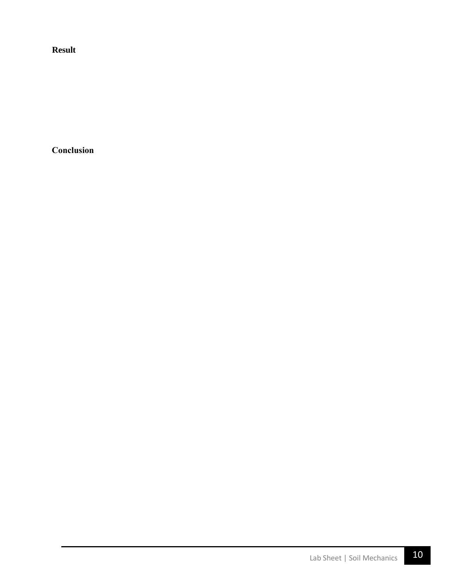**Result**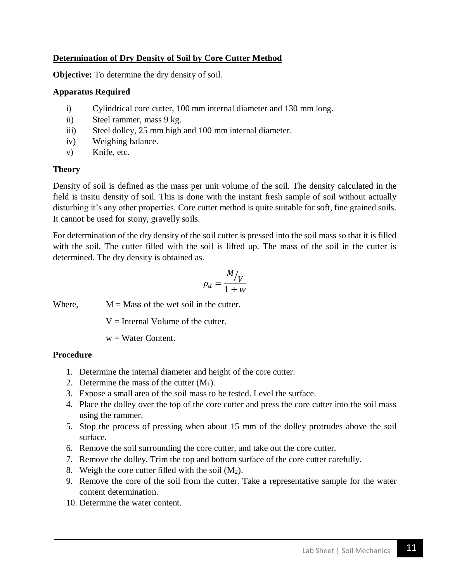# **Determination of Dry Density of Soil by Core Cutter Method**

**Objective:** To determine the dry density of soil.

#### **Apparatus Required**

- i) Cylindrical core cutter, 100 mm internal diameter and 130 mm long.
- ii) Steel rammer, mass 9 kg.
- iii) Steel dolley, 25 mm high and 100 mm internal diameter.
- iv) Weighing balance.
- v) Knife, etc.

#### **Theory**

Density of soil is defined as the mass per unit volume of the soil. The density calculated in the field is insitu density of soil. This is done with the instant fresh sample of soil without actually disturbing it's any other properties. Core cutter method is quite suitable for soft, fine grained soils. It cannot be used for stony, gravelly soils.

For determination of the dry density of the soil cutter is pressed into the soil mass so that it is filled with the soil. The cutter filled with the soil is lifted up. The mass of the soil in the cutter is determined. The dry density is obtained as.

$$
\rho_d = \frac{M_{\text{V}}}{1 + w}
$$

Where,  $M = Mass$  of the wet soil in the cutter.

 $V =$  Internal Volume of the cutter.

 $w = Water Content$ .

#### **Procedure**

- 1. Determine the internal diameter and height of the core cutter.
- 2. Determine the mass of the cutter  $(M_1)$ .
- 3. Expose a small area of the soil mass to be tested. Level the surface.
- 4. Place the dolley over the top of the core cutter and press the core cutter into the soil mass using the rammer.
- 5. Stop the process of pressing when about 15 mm of the dolley protrudes above the soil surface.
- 6. Remove the soil surrounding the core cutter, and take out the core cutter.
- 7. Remove the dolley. Trim the top and bottom surface of the core cutter carefully.
- 8. Weigh the core cutter filled with the soil  $(M_2)$ .
- 9. Remove the core of the soil from the cutter. Take a representative sample for the water content determination.
- 10. Determine the water content.